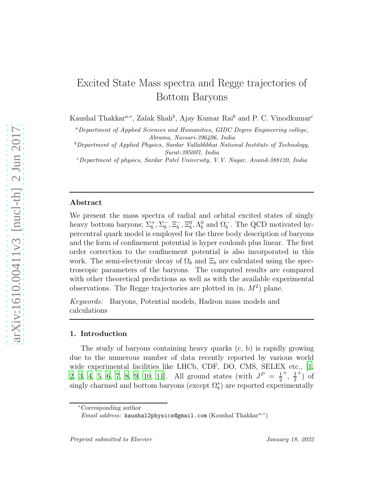# Excited State Mass spectra and Regge trajectories of Bottom Baryons

Kaushal Thakkar<sup>a,∗</sup>, Zalak Shah<sup>b</sup>, Ajay Kumar Rai<sup>b</sup> and P. C. Vinodkumar<sup>c</sup>

<sup>a</sup>*Department of Applied Sciences and Humanities, GIDC Degree Engineering college, Abrama, Navsari-396406, India*

<sup>b</sup>*Department of Applied Physics, Sardar Vallabhbhai National Institute of Technology, Surat-395007, India*

<sup>c</sup>*Department of physics, Sardar Patel University, V.V. Nagar, Anand-388120, India*

#### Abstract

We present the mass spectra of radial and orbital excited states of singly heavy bottom baryons;  $\Sigma_b^+$ ,  $\Sigma_b^-$ ,  $\Xi_b^-$ ,  $\Xi_b^0$ ,  $\Lambda_b^0$  and  $\Omega_b^-$ . The QCD motivated hypercentral quark model is employed for the three body description of baryons and the form of confinement potential is hyper coulomb plus linear. The first order correction to the confinement potential is also incorporated in this work. The semi-electronic decay of  $\Omega_b$  and  $\Xi_b$  are calculated using the spectroscopic parameters of the baryons. The computed results are compared with other theoretical predictions as well as with the available experimental observations. The Regge trajectories are plotted in  $(n, M^2)$  plane.

*Keywords:* Baryons, Potential models, Hadron mass models and calculations

#### 1. Introduction

The study of baryons containing heavy quarks (c, b) is rapidly growing due to the numerous number of data recently reported by various world wide experimental facilities like LHCb, CDF, DO, CMS, SELEX etc., [\[1](#page-17-0), [2,](#page-17-1) [3](#page-17-2), [4](#page-17-3), [5,](#page-17-4) [6](#page-17-5), [7](#page-17-6), [8,](#page-17-7) [9](#page-18-0), [10,](#page-18-1) 11. All ground states (with  $J^P = \frac{1}{2}$ 2 <sup>+</sup>,  $\frac{3}{2}$ 2  $^{+})$  of singly charmed and bottom baryons (except  $\Omega_b^*$ ) are reported experimentally

<sup>∗</sup>Corresponding author

*Email address:* kausha12physics@gmail.com (Kaushal Thakkar<sup>a,∗</sup>)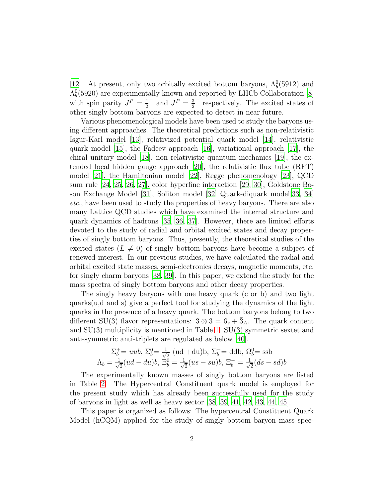[\[12\]](#page-18-3). At present, only two orbitally excited bottom baryons,  $\Lambda_b^0(5912)$  and  $\Lambda_b^0(5920)$  are experimentally known and reported by LHCb Collaboration [\[8](#page-17-7)] with spin parity  $J^P = \frac{1}{2}$  $\frac{1}{2}^{-}$  and  $J^{P} = \frac{3}{2}$  $\frac{3}{2}$ <sup>-</sup> respectively. The excited states of other singly bottom baryons are expected to detect in near future.

Various phenomenological models have been used to study the baryons using different approaches. The theoretical predictions such as non-relativistic Isgur-Karl model [\[13](#page-18-4)], relativized potential quark model [\[14\]](#page-18-5), relativistic quark model [\[15\]](#page-18-6), the Fadeev approach [\[16\]](#page-18-7), variational approach [\[17\]](#page-18-8), the chiral unitary model [\[18\]](#page-18-9), non relativistic quantum mechanics [\[19\]](#page-18-10), the extended local hidden gauge approach [\[20](#page-18-11)], the relativistic flux tube (RFT) model [\[21\]](#page-18-12), the Hamiltonian model [\[22](#page-18-13)], Regge phenomenology [\[23](#page-18-14)], QCD sum rule [\[24](#page-18-15), [25](#page-19-0), [26,](#page-19-1) [27](#page-19-2)], color hyperfine interaction [\[29](#page-19-3), [30](#page-19-4)], Goldstone Boson Exchange Model [\[31\]](#page-19-5), Soliton model [\[32\]](#page-19-6) Quark-diquark model[\[33](#page-19-7), [34](#page-19-8)] *etc*., have been used to study the properties of heavy baryons. There are also many Lattice QCD studies which have examined the internal structure and quark dynamics of hadrons [\[35,](#page-19-9) [36](#page-19-10), [37\]](#page-19-11). However, there are limited efforts devoted to the study of radial and orbital excited states and decay properties of singly bottom baryons. Thus, presently, the theoretical studies of the excited states  $(L \neq 0)$  of singly bottom baryons have become a subject of renewed interest. In our previous studies, we have calculated the radial and orbital excited state masses, semi-electronics decays, magnetic moments, etc. for singly charm baryons [\[38](#page-19-12), [39](#page-19-13)]. In this paper, we extend the study for the mass spectra of singly bottom baryons and other decay properties.

The singly heavy baryons with one heavy quark (c or b) and two light quarks(u,d and s) give a perfect tool for studying the dynamics of the light quarks in the presence of a heavy quark. The bottom baryons belong to two different SU(3) flavor representations:  $3 \otimes 3 = 6_s + 3_A$ . The quark content and  $SU(3)$  multiplicity is mentioned in Table [1.](#page-2-0)  $SU(3)$  symmetric sextet and anti-symmetric anti-triplets are regulated as below [\[40](#page-19-14)].

$$
\Sigma_b^+ = uub, \ \Sigma_b^0 = \frac{1}{\sqrt{2}} \ (ud + du)b, \ \Sigma_b^- = ddb, \ \Omega_b^0 = \text{ssb}
$$

$$
\Lambda_b = \frac{1}{\sqrt{2}} (ud - du)b, \ \Xi_b^0 = \frac{1}{\sqrt{2}} (us - su)b, \ \Xi_b^- = \frac{1}{\sqrt{2}} (ds - sd)b
$$

The experimentally known masses of singly bottom baryons are listed in Table [2.](#page-2-1) The Hypercentral Constituent quark model is employed for the present study which has already been successfully used for the study of baryons in light as well as heavy sector [\[38](#page-19-12), [39](#page-19-13), [41,](#page-20-0) [42,](#page-20-1) [43,](#page-20-2) [44,](#page-20-3) [45](#page-20-4)].

This paper is organized as follows: The hypercentral Constituent Quark Model (hCQM) applied for the study of singly bottom baryon mass spec-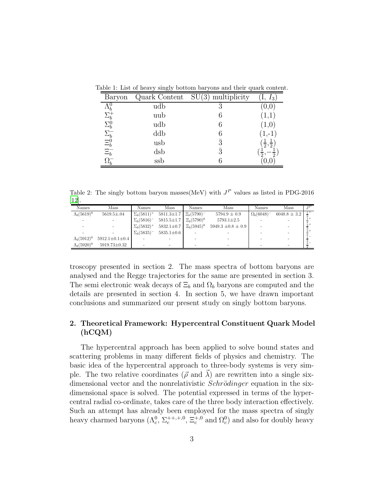<span id="page-2-0"></span>

| Baryon                                                                     |                 | Quark Content $SU(3)$ multiplicity | $I_3$                      |
|----------------------------------------------------------------------------|-----------------|------------------------------------|----------------------------|
| $\Lambda_b^0$                                                              | udb             |                                    |                            |
| $\Sigma_{b}^{+}$                                                           | uub             | 6                                  | (1,1)                      |
| $\Sigma_b^0$                                                               | udb             | 6                                  | (1,0)                      |
|                                                                            | ddb             | 6                                  | $(1,-1)$                   |
|                                                                            | usb             | $\overline{3}$                     | $\frac{1}{2}, \frac{1}{2}$ |
| $\begin{array}{l} \Sigma_b^- \\ \Xi_b^0 \\ \Xi_b^- \\ \Xi_b^- \end{array}$ | $\mathrm{d}$ sb | $\bar{3}$                          | റ                          |
|                                                                            | ssb             |                                    |                            |

Table 1: List of heavy singly bottom baryons and their quark content.

<span id="page-2-1"></span>Table 2: The singly bottom baryon masses (MeV) with  $J<sup>P</sup>$  values as listed in PDG-2016 [\[12\]](#page-18-3).

| Names               | Mass                     | Names              | Mass                                 | Names           | Mass                     | Names              | Mass             | TP |
|---------------------|--------------------------|--------------------|--------------------------------------|-----------------|--------------------------|--------------------|------------------|----|
| $\Lambda_b(5619)^0$ | $5619.5 \pm .04$         | $\Sigma_b(5811)^+$ | $5811.3 \pm 1.7$ $\equiv_b (5790)^-$ |                 | $5794.9 \pm 0.9$         | $\Omega_b(6048)^-$ | $6048.8 \pm 3.2$ |    |
|                     |                          | $\Sigma_b(5816)^-$ | $5815.5 \pm 1.7$ $\equiv_b (5790)^0$ |                 | $5793.1 \pm 2.5$         |                    |                  |    |
|                     |                          | $\Sigma_b(5832)^+$ | $5832.1 \pm 0.7$                     | $\Xi_h(5945)^0$ | $5949.3 \pm 0.8 \pm 0.9$ |                    |                  |    |
|                     |                          | $\Sigma_h(5835)^-$ | $5835.1 \pm 0.6$                     |                 |                          |                    |                  |    |
| $\Lambda_b(5912)^0$ | $5912.1 \pm 0.1 \pm 0.4$ |                    |                                      |                 |                          |                    |                  |    |
| $\Lambda_b(5920)^0$ | 5919.73±0.32             |                    | -                                    |                 |                          |                    |                  |    |

troscopy presented in section 2. The mass spectra of bottom baryons are analysed and the Regge trajectories for the same are presented in section 3. The semi electronic weak decays of  $\Xi_b$  and  $\Omega_b$  baryons are computed and the details are presented in section 4. In section 5, we have drawn important conclusions and summarized our present study on singly bottom baryons.

## 2. Theoretical Framework: Hypercentral Constituent Quark Model (hCQM)

The hypercentral approach has been applied to solve bound states and scattering problems in many different fields of physics and chemistry. The basic idea of the hypercentral approach to three-body systems is very simple. The two relative coordinates ( $\vec{\rho}$  and  $\vec{\lambda}$ ) are rewritten into a single sixdimensional vector and the nonrelativistic  $Schrödinger$  equation in the sixdimensional space is solved. The potential expressed in terms of the hypercentral radial co-ordinate, takes care of the three body interaction effectively. Such an attempt has already been employed for the mass spectra of singly heavy charmed baryons  $(\Lambda_c^0, \Sigma_c^{++,+,0}, \Xi_c^{+,0} \text{ and } \Omega_c^0)$  and also for doubly heavy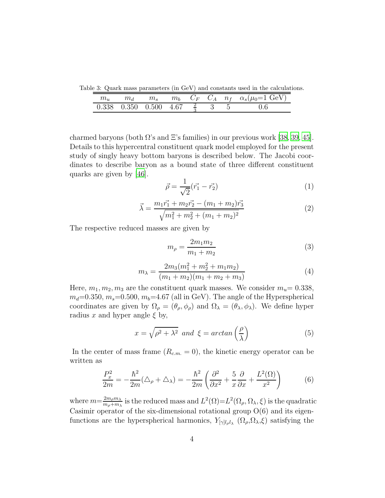Table 3: Quark mass parameters (in GeV) and constants used in the calculations.

<span id="page-3-0"></span>

|                                        | IIta | $m_{s}$ |  |  | $m_b$ $C_F$ $C_A$ $n_f$ $\alpha_s(\mu_0=1 \text{ GeV})$ |
|----------------------------------------|------|---------|--|--|---------------------------------------------------------|
| 0.338 0.350 0.500 4.67 $\frac{2}{3}$ 3 |      |         |  |  |                                                         |

charmed baryons (both  $\Omega$ 's and  $\Xi$ 's families) in our previous work [\[38](#page-19-12), [39](#page-19-13), [45\]](#page-20-4). Details to this hypercentral constituent quark model employed for the present study of singly heavy bottom baryons is described below. The Jacobi coordinates to describe baryon as a bound state of three different constituent quarks are given by [\[46\]](#page-20-5).

$$
\vec{\rho} = \frac{1}{\sqrt{2}} (\vec{r_1} - \vec{r_2})
$$
\n(1)

$$
\vec{\lambda} = \frac{m_1 \vec{r_1} + m_2 \vec{r_2} - (m_1 + m_2) \vec{r_3}}{\sqrt{m_1^2 + m_2^2 + (m_1 + m_2)^2}}
$$
(2)

The respective reduced masses are given by

$$
m_{\rho} = \frac{2m_1m_2}{m_1 + m_2} \tag{3}
$$

$$
m_{\lambda} = \frac{2m_3(m_1^2 + m_2^2 + m_1m_2)}{(m_1 + m_2)(m_1 + m_2 + m_3)}
$$
(4)

Here,  $m_1, m_2, m_3$  are the constituent quark masses. We consider  $m_u= 0.338$ ,  $m_d=0.350$ ,  $m_s=0.500$ ,  $m_b=4.67$  (all in GeV). The angle of the Hyperspherical coordinates are given by  $\Omega_{\rho} = (\theta_{\rho}, \phi_{\rho})$  and  $\Omega_{\lambda} = (\theta_{\lambda}, \phi_{\lambda})$ . We define hyper radius x and hyper angle  $\xi$  by,

$$
x = \sqrt{\rho^2 + \lambda^2} \text{ and } \xi = \arctan\left(\frac{\rho}{\lambda}\right) \tag{5}
$$

In the center of mass frame  $(R_{c.m.} = 0)$ , the kinetic energy operator can be written as

$$
\frac{P_x^2}{2m} = -\frac{\hbar^2}{2m} (\Delta_\rho + \Delta_\lambda) = -\frac{\hbar^2}{2m} \left( \frac{\partial^2}{\partial x^2} + \frac{5}{x} \frac{\partial}{\partial x} + \frac{L^2(\Omega)}{x^2} \right) \tag{6}
$$

where  $m=\frac{2m_\rho m_\lambda}{m_\lambda+m_\lambda}$  $\frac{2m_\rho m_\lambda}{m_\rho+m_\lambda}$  is the reduced mass and  $L^2(\Omega)=L^2(\Omega_\rho,\Omega_\lambda,\xi)$  is the quadratic Casimir operator of the six-dimensional rotational group  $O(6)$  and its eigenfunctions are the hyperspherical harmonics,  $Y_{[\gamma]l_{\rho}l_{\lambda}}(\Omega_{\rho},\Omega_{\lambda},\xi)$  satisfying the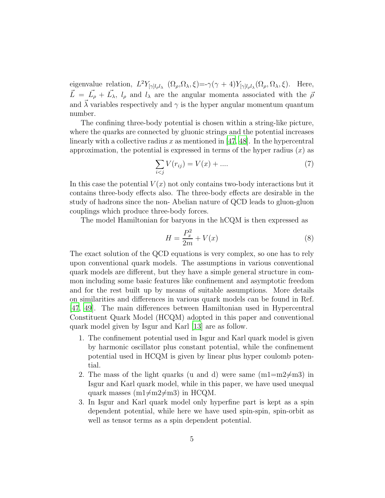eigenvalue relation,  $L^2 Y_{[\gamma]l_{\rho}l_{\lambda}} (\Omega_{\rho}, \Omega_{\lambda}, \xi) = -\gamma(\gamma + 4)Y_{[\gamma]l_{\rho}l_{\lambda}} (\Omega_{\rho}, \Omega_{\lambda}, \xi)$ . Here,  $\vec{L} = \vec{L}_{\rho} + \vec{L}_{\lambda}, l_{\rho}$  and  $l_{\lambda}$  are the angular momenta associated with the  $\bar{\rho}$ and  $\vec{\lambda}$  variables respectively and  $\gamma$  is the hyper angular momentum quantum number.

The confining three-body potential is chosen within a string-like picture, where the quarks are connected by gluonic strings and the potential increases linearly with a collective radius x as mentioned in  $[47, 48]$ . In the hypercentral approximation, the potential is expressed in terms of the hyper radius  $(x)$  as

$$
\sum_{i < j} V(r_{ij}) = V(x) + \dots \tag{7}
$$

In this case the potential  $V(x)$  not only contains two-body interactions but it contains three-body effects also. The three-body effects are desirable in the study of hadrons since the non- Abelian nature of QCD leads to gluon-gluon couplings which produce three-body forces.

The model Hamiltonian for baryons in the hCQM is then expressed as

$$
H = \frac{P_x^2}{2m} + V(x) \tag{8}
$$

The exact solution of the QCD equations is very complex, so one has to rely upon conventional quark models. The assumptions in various conventional quark models are different, but they have a simple general structure in common including some basic features like confinement and asymptotic freedom and for the rest built up by means of suitable assumptions. More details on similarities and differences in various quark models can be found in Ref. [\[47,](#page-20-6) [49\]](#page-20-7). The main differences between Hamiltonian used in Hypercentral Constituent Quark Model (HCQM) adopted in this paper and conventional quark model given by Isgur and Karl [\[13\]](#page-18-4) are as follow.

- 1. The confinement potential used in Isgur and Karl quark model is given by harmonic oscillator plus constant potential, while the confinement potential used in HCQM is given by linear plus hyper coulomb potential.
- 2. The mass of the light quarks (u and d) were same  $(m1=m2\neq m3)$  in Isgur and Karl quark model, while in this paper, we have used unequal quark masses ( $m1\neq m2\neq m3$ ) in HCQM.
- 3. In Isgur and Karl quark model only hyperfine part is kept as a spin dependent potential, while here we have used spin-spin, spin-orbit as well as tensor terms as a spin dependent potential.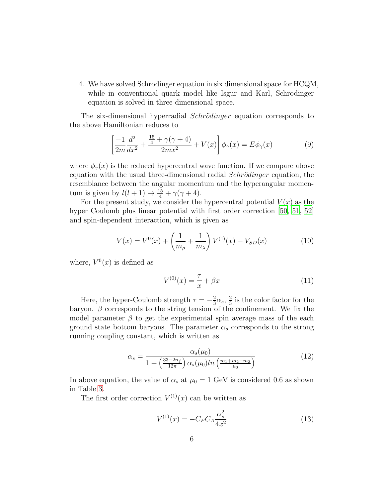4. We have solved Schrodinger equation in six dimensional space for HCQM, while in conventional quark model like Isgur and Karl, Schrodinger equation is solved in three dimensional space.

The six-dimensional hyperradial *Schrödinger* equation corresponds to the above Hamiltonian reduces to

$$
\left[\frac{-1}{2m}\frac{d^2}{dx^2} + \frac{\frac{15}{4} + \gamma(\gamma + 4)}{2mx^2} + V(x)\right]\phi_\gamma(x) = E\phi_\gamma(x)
$$
(9)

where  $\phi_{\gamma}(x)$  is the reduced hypercentral wave function. If we compare above equation with the usual three-dimensional radial  $Schrödinger$  equation, the resemblance between the angular momentum and the hyperangular momentum is given by  $l(l+1) \rightarrow \frac{15}{4} + \gamma(\gamma + 4)$ .

For the present study, we consider the hypercentral potential  $V(x)$  as the hyper Coulomb plus linear potential with first order correction [\[50](#page-20-8), [51,](#page-20-9) [52](#page-20-10)] and spin-dependent interaction, which is given as

$$
V(x) = V^{0}(x) + \left(\frac{1}{m_{\rho}} + \frac{1}{m_{\lambda}}\right) V^{(1)}(x) + V_{SD}(x)
$$
 (10)

where,  $V^0(x)$  is defined as

$$
V^{(0)}(x) = \frac{\tau}{x} + \beta x \tag{11}
$$

Here, the hyper-Coulomb strength  $\tau = -\frac{2}{3}$  $rac{2}{3}\alpha_s, \frac{2}{3}$  $\frac{2}{3}$  is the color factor for the baryon.  $\beta$  corresponds to the string tension of the confinement. We fix the model parameter  $\beta$  to get the experimental spin average mass of the each ground state bottom baryons. The parameter  $\alpha_s$  corresponds to the strong running coupling constant, which is written as

$$
\alpha_s = \frac{\alpha_s(\mu_0)}{1 + \left(\frac{33 - 2n_f}{12\pi}\right) \alpha_s(\mu_0) ln\left(\frac{m_1 + m_2 + m_3}{\mu_0}\right)}\tag{12}
$$

In above equation, the value of  $\alpha_s$  at  $\mu_0 = 1$  GeV is considered 0.6 as shown in Table [3.](#page-3-0)

The first order correction  $V^{(1)}(x)$  can be written as

$$
V^{(1)}(x) = -C_F C_A \frac{\alpha_s^2}{4x^2}
$$
\n(13)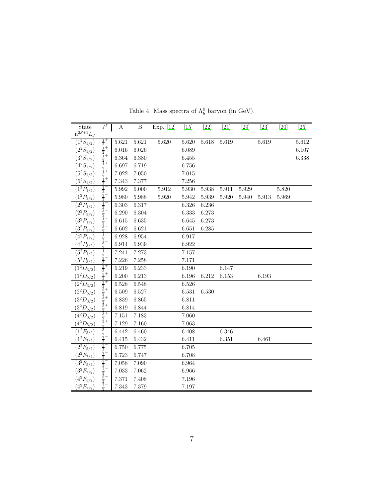| State                     | $J^P$ | $\overline{A}$ | $\overline{B}$ | Exp. $[12]$ $[15]$ |       | $[22]$ | $[21]$ | $[29]$    | $[23]$ | $\overline{[}20]$ | [25]  |
|---------------------------|-------|----------------|----------------|--------------------|-------|--------|--------|-----------|--------|-------------------|-------|
| ${\bf n}^{2S+1}L_J$       |       |                |                |                    |       |        |        |           |        |                   |       |
| $\overline{(1^2S_{1/2})}$ |       | 5.621          | 5.621          | 5.620              | 5.620 | 5.618  | 5.619  |           | 5.619  |                   | 5.612 |
| $(2^2S_{1/2})$            |       | 6.016          | 6.026          |                    | 6.089 |        |        |           |        |                   | 6.107 |
| $(3^2S_{1/2})$            |       | 6.364          | 6.380          |                    | 6.455 |        |        |           |        |                   | 6.338 |
| $(4^2S_{1/2})$            |       | 6.697          | 6.719          |                    | 6.756 |        |        |           |        |                   |       |
| $\left(5^2S_{1/2}\right)$ |       | 7.022          | 7.050          |                    | 7.015 |        |        |           |        |                   |       |
| $(6^2S_{1/2})$            |       | 7.343          | 7.377          |                    | 7.256 |        |        |           |        |                   |       |
| $(1^2P_{1/2})$            |       | $5.992\,$      | 6.000          | 5.912              | 5.930 | 5.938  | 5.911  | $5.929\,$ |        | 5.820             |       |
| $(1^2P_{3/2})$            |       | 5.980          | $5.988\,$      | 5.920              | 5.942 | 5.939  | 5.920  | 5.940     | 5.913  | 5.969             |       |
| $\overline{(2^2P_{1/2})}$ |       | 6.303          | 6.317          |                    | 6.326 | 6.236  |        |           |        |                   |       |
| $(2^2P_{3/2})$            |       | 6.290          | 6.304          |                    | 6.333 | 6.273  |        |           |        |                   |       |
| $(3^2P_{1/2})$            |       | 6.615          | 6.635          |                    | 6.645 | 6.273  |        |           |        |                   |       |
| $(3^2P_{3/2})$            |       | 6.602          | 6.621          |                    | 6.651 | 6.285  |        |           |        |                   |       |
| $(4^2P_{1/2})$            |       | 6.928          | 6.954          |                    | 6.917 |        |        |           |        |                   |       |
| $(4^2P_{3/2})$            |       | 6.914          | 6.939          |                    | 6.922 |        |        |           |        |                   |       |
| $(5^2P_{1/2})$            |       | 7.241          | 7.273          |                    | 7.157 |        |        |           |        |                   |       |
| $(5^2P_{3/2})$            |       | 7.226          | 7.258          |                    | 7.171 |        |        |           |        |                   |       |
| $(1^2D_{3/2})$            |       | 6.219          | 6.233          |                    | 6.190 |        | 6.147  |           |        |                   |       |
| $(1^2D_{5/2})$            |       | 6.200          | 6.213          |                    | 6.196 | 6.212  | 6.153  |           | 6.193  |                   |       |
| $(2^2D_{3/2})$            |       | 6.528          | 6.548          |                    | 6.526 |        |        |           |        |                   |       |
| $(2^2D_{5/2})$            |       | 6.509          | 6.527          |                    | 6.531 | 6.530  |        |           |        |                   |       |
| $(3^2D_{3/2})$            |       | 6.839          | 6.865          |                    | 6.811 |        |        |           |        |                   |       |
| $(3^2D_{5/2})$            |       | 6.819          | 6.844          |                    | 6.814 |        |        |           |        |                   |       |
| $(4^2D_{3/2})$            |       | 7.151          | 7.183          |                    | 7.060 |        |        |           |        |                   |       |
| $(4^2D_{5/2})$            |       | $7.129\,$      | 7.160          |                    | 7.063 |        |        |           |        |                   |       |
| $(1^2F_{5/2})$            |       | 6.442          | 6.460          |                    | 6.408 |        | 6.346  |           |        |                   |       |
| $(1^2F_{7/2})$            |       | 6.415          | 6.432          |                    | 6.411 |        | 6.351  |           | 6.461  |                   |       |
| $(2^2F_{5/2})$            |       | 6.750          | 6.775          |                    | 6.705 |        |        |           |        |                   |       |
| $(2^2F_{7/2})$            |       | 6.723          | 6.747          |                    | 6.708 |        |        |           |        |                   |       |
| $(3^2F_{5/2})$            |       | 7.058          | 7.090          |                    | 6.964 |        |        |           |        |                   |       |
| $(3^2F_{7/2})$            |       | 7.033          | 7.062          |                    | 6.966 |        |        |           |        |                   |       |
| $(4^2F_{5/2})$            |       | 7.371          | 7.408          |                    | 7.196 |        |        |           |        |                   |       |
| $(4^2F_{7/2})$            |       | 7.343          | 7.379          |                    | 7.197 |        |        |           |        |                   |       |
|                           |       |                |                |                    |       |        |        |           |        |                   |       |

<span id="page-6-0"></span>Table 4: Mass spectra of  $\Lambda_b^0$  baryon (in GeV).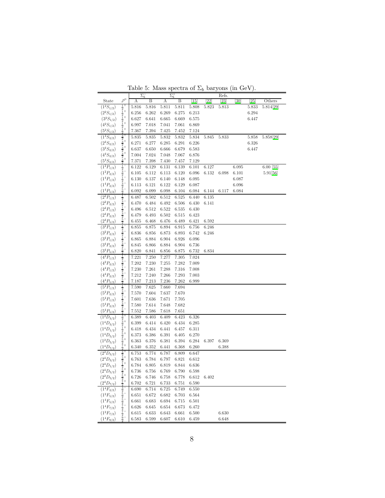|                           |                                                                                                                                                                                                                                       | Lable 5. Mass specula of $\mathbb{Z}_b$ baryons (in GeV). |       | $\Sigma_{b}^{+}$ |                   |       |                 | Refs.     |       |                    |                         |
|---------------------------|---------------------------------------------------------------------------------------------------------------------------------------------------------------------------------------------------------------------------------------|-----------------------------------------------------------|-------|------------------|-------------------|-------|-----------------|-----------|-------|--------------------|-------------------------|
| State                     | $J^{\bar{P}}$                                                                                                                                                                                                                         | $\Sigma_b^-$<br>А                                         | B     | А                | B                 | 15    | $\overline{2}2$ | $^{[23]}$ | [30]  | $\left[ 25\right]$ | Others                  |
| $(1^2S_{1/2})$            |                                                                                                                                                                                                                                       | 5.816                                                     | 5.816 | 5.811            | 5.811             | 5.808 | 5.823           | 5.813     |       | 5.833              | $\overline{5.814}$ [29] |
| $(2^2S_{1/2})$            |                                                                                                                                                                                                                                       | 6.256                                                     | 6.262 | 6.269            | 6.275             | 6.213 |                 |           |       | 6.294              |                         |
| $(3^2S_{1/2})$            |                                                                                                                                                                                                                                       | 6.627                                                     | 6.641 | 6.665            | 6.669             | 6.575 |                 |           |       | 6.447              |                         |
| $(4^2S_{1/2})$            |                                                                                                                                                                                                                                       | 6.997                                                     | 7.018 | 7.041            | 7.061             | 6.869 |                 |           |       |                    |                         |
| $(5^2S_{1/2})$            |                                                                                                                                                                                                                                       | 7.367                                                     | 7.394 | 7.425            | 7.452             | 7.124 |                 |           |       |                    |                         |
| $(1^4S_{3/2})$            |                                                                                                                                                                                                                                       | 5.835                                                     | 5.835 | 5.832            | 5.832             | 5.834 | 5.845           | 5.833     |       | 5.858              | 5.858[29]               |
| $(2^4S_{3/2})$            |                                                                                                                                                                                                                                       | 6.271                                                     | 6.277 | 6.285            | 6.291             | 6.226 |                 |           |       | 6.326              |                         |
| $(3^4S_{3/2})$            |                                                                                                                                                                                                                                       | 6.637                                                     | 6.650 | 6.666            | 6.679             | 6.583 |                 |           |       | 6.447              |                         |
| $(4^4S_{3/2})$            |                                                                                                                                                                                                                                       | 7.004                                                     | 7.024 | 7.048            | 7.067             | 6.876 |                 |           |       |                    |                         |
| $(5^4S_{3/2})$            |                                                                                                                                                                                                                                       | 7.371                                                     | 7.398 | 7.430            | 7.457             | 7.129 |                 |           |       |                    |                         |
| $(1^2P_{1/2})$            |                                                                                                                                                                                                                                       | 6.122                                                     | 6.129 | 6.131            | 6.139             | 6.101 | 6.127           |           | 6.095 |                    | $6.00\;[55]$            |
| $(1^2P_{3/2})$            |                                                                                                                                                                                                                                       | 6.105                                                     | 6.112 | 6.113            | 6.120             | 6.096 | 6.132           | 6.098     | 6.101 |                    | 5.91[56]                |
| $(1^4P_{1/2})$            |                                                                                                                                                                                                                                       | 6.130                                                     | 6.137 | 6.140            | 6.148             | 6.095 |                 |           | 6.087 |                    |                         |
| $(1^4P_{3/2})$            |                                                                                                                                                                                                                                       | 6.113                                                     | 6.121 | 6.122            | 6.129             | 6.087 |                 |           | 6.096 |                    |                         |
| $(1^4P_{5/2})$            |                                                                                                                                                                                                                                       | 6.092                                                     | 6.099 | 6.098            | 6.104             | 6.084 | 6.144           | 6.117     | 6.084 |                    |                         |
| $(2^2P_{1/2})$            | エヌエヌエヌエヌエヌユヌタヌタヌヌヌヌヌュヌユヌュフュフュヌュラュヌヌュヌュヌュヌコヌコヌュフュラュフュフュコミュニヌュニュュニュュニュュラニュララフキュー キャキ・キャキ キャキ キャキ キャラ コー コー コー コーニュー コーニュー コーニー コーニュー コーニュー コーニューニュー コーニュニュー                                                                             | 6.487                                                     | 6.502 | 6.512            | 6.525             | 6.440 | 6.135           |           |       |                    |                         |
| $(2^2P_{3/2})$            |                                                                                                                                                                                                                                       | 6.470                                                     | 6.484 | 6.492            | 6.506             | 6.430 | 6.141           |           |       |                    |                         |
| $(2^4P_{1/2})$            |                                                                                                                                                                                                                                       | 6.496                                                     | 6.512 | 6.522            | 6.535             | 6.430 |                 |           |       |                    |                         |
| $(2^4P_{3/2})$            |                                                                                                                                                                                                                                       | 6.479                                                     | 6.493 | 6.502            | 6.515             | 6.423 |                 |           |       |                    |                         |
| $(2^4P_{5/2})$            |                                                                                                                                                                                                                                       | 6.455                                                     | 6.468 | 6.476            | 6.489             | 6.421 | 6.592           |           |       |                    |                         |
| $(3^2P_{1/2})$            |                                                                                                                                                                                                                                       | 6.855                                                     | 6.875 | 6.894            | 6.915             | 6.756 | 6.246           |           |       |                    |                         |
| $(3^2P_{3/2})$            |                                                                                                                                                                                                                                       | 6.836                                                     | 6.856 | 6.873            | 6.893             | 6.742 | 6.246           |           |       |                    |                         |
| $(3^4P_{1/2})$            |                                                                                                                                                                                                                                       | 6.865                                                     | 6.884 | 6.904            | 6.926             | 6.096 |                 |           |       |                    |                         |
| $(3^4P_{3/2})$            |                                                                                                                                                                                                                                       | 6.845                                                     | 6.866 | 6.884            | 6.904             | 6.736 |                 |           |       |                    |                         |
| $(3^4P_{5/2})$            |                                                                                                                                                                                                                                       | 6.820                                                     | 6.841 | 6.856            | 6.875             | 6.732 | 6.834           |           |       |                    |                         |
| $(4^{2}P_{1/2})$          |                                                                                                                                                                                                                                       | 7.221                                                     | 7.250 | 7.277            | 7.305             | 7.024 |                 |           |       |                    |                         |
| $(4^2P_{3/2})$            |                                                                                                                                                                                                                                       | 7.202                                                     | 7.230 | 7.255            | 7.282             | 7.009 |                 |           |       |                    |                         |
| $(4^4P_{1/2})$            |                                                                                                                                                                                                                                       | 7.230                                                     | 7.261 | 7.288            | 7.316             | 7.008 |                 |           |       |                    |                         |
| $(4^4P_{3/2})$            |                                                                                                                                                                                                                                       | 7.212                                                     | 7.240 | 7.266            | 7.293             | 7.003 |                 |           |       |                    |                         |
| $(4^4P_{5/2})$            |                                                                                                                                                                                                                                       | 7.187                                                     | 7.213 | 7.236            | 7.262             | 6.999 |                 |           |       |                    |                         |
| $(5^2P_{1/2})$            |                                                                                                                                                                                                                                       | 7.590                                                     | 7.625 | 7.660            | 7.694             |       |                 |           |       |                    |                         |
| $(5^2P_{3/2})$            |                                                                                                                                                                                                                                       | 7.570                                                     | 7.604 | 7.637            | 7.670             |       |                 |           |       |                    |                         |
| $(5^4P_{1/2})$            |                                                                                                                                                                                                                                       | 7.601                                                     | 7.636 | 7.671            | 7.705             |       |                 |           |       |                    |                         |
| $(5^4P_{3/2})$            |                                                                                                                                                                                                                                       | 7.580                                                     | 7.614 | 7.648            | 7.682             |       |                 |           |       |                    |                         |
| $(5^4P_{5/2})$            |                                                                                                                                                                                                                                       | 7.552                                                     | 7.586 | 7.618            | 7.651             |       |                 |           |       |                    |                         |
| $(1^2D_{3/2})$            |                                                                                                                                                                                                                                       | 6.389                                                     | 6.403 | 6.409            | 6.423             | 6.326 |                 |           |       |                    |                         |
| $(1^4D_{3/2})$            |                                                                                                                                                                                                                                       | 6.399                                                     | 6.414 | 6.420            | 6.434             | 6.285 |                 |           |       |                    |                         |
| $(1^4D_{1/2})$            |                                                                                                                                                                                                                                       | 6.418                                                     | 6.434 | 6.441            | 6.457             | 6.311 |                 |           |       |                    |                         |
| $\left(1^4D_{5/2}\right)$ |                                                                                                                                                                                                                                       | 6.373                                                     | 6.386 | 6.391            | 6.405             | 6.270 |                 |           |       |                    |                         |
| $(1^2D_{5/2})$            |                                                                                                                                                                                                                                       | 6.363                                                     | 6.376 | 6.381            | 6.394             | 6.284 | 6.397           | 6.369     |       |                    |                         |
| $(1^4D_{7/2})$            | $\frac{3}{2} \cdot \frac{3}{2} \cdot \frac{1}{2} \cdot \frac{1}{2} \cdot \frac{5}{2} \cdot \frac{2}{2} \cdot \frac{5}{2} \cdot \frac{2}{2} \cdot \frac{3}{2} \cdot \frac{3}{2} \cdot \frac{2}{2} \cdot \frac{1}{2} \cdot \frac{5}{2}$ | 6.340                                                     | 6.352 | 6.441            | 6.368             | 6.260 |                 | 6.388     |       |                    |                         |
| $(2^2D_{3/2})$            |                                                                                                                                                                                                                                       | 6.753                                                     | 6.774 | 6.787            | 6.809             | 6.647 |                 |           |       |                    |                         |
| $(2^4D_{3/2})$            |                                                                                                                                                                                                                                       | 6.763                                                     | 6.784 | 6.797            | 6.821             | 6.612 |                 |           |       |                    |                         |
| $(2^4D_{1/2})$            |                                                                                                                                                                                                                                       | 6.784                                                     | 6.805 | 6.819            | 6.844             | 6.636 |                 |           |       |                    |                         |
| $(2^4D_{5/2})$            |                                                                                                                                                                                                                                       | 6.736                                                     | 6.756 |                  | 6.769 6.790 6.598 |       |                 |           |       |                    |                         |
| $(2^2D_{5/2})$            |                                                                                                                                                                                                                                       | 6.726                                                     | 6.746 | 6.758            | 6.778             | 6.612 | 6.402           |           |       |                    |                         |
| $(2^4D_{7/2})$            | $\frac{25}{27} \frac{1}{27} \frac{3}{25} \frac{5}{25} \frac{5}{27} \frac{1}{27} - \frac{1}{29}$                                                                                                                                       | 6.702                                                     | 6.721 | 6.733            | 6.751             | 6.590 |                 |           |       |                    |                         |
| $(1^4F_{3/2})$            |                                                                                                                                                                                                                                       | 6.690                                                     | 6.714 | 6.725            | 6.749             | 6.550 |                 |           |       |                    |                         |
| $(1^2{\cal F}_{5/2})$     |                                                                                                                                                                                                                                       | 6.651                                                     | 6.672 | 6.682            | 6.703             | 6.564 |                 |           |       |                    |                         |
| $(1^4F_{5/2})$            |                                                                                                                                                                                                                                       | 6.661                                                     | 6.683 | 6.694            | 6.715             | 6.501 |                 |           |       |                    |                         |
| $(1^4F_{7/2})$            |                                                                                                                                                                                                                                       | 6.626                                                     | 6.645 | 6.654            | 6.673             | 6.472 |                 |           |       |                    |                         |
| $(1^2F_{7/2})$            |                                                                                                                                                                                                                                       | 6.615                                                     | 6.633 | 6.643            | 6.661             | 6.500 |                 | 6.630     |       |                    |                         |
| $(1^4F_{9/2})$            |                                                                                                                                                                                                                                       | 6.583                                                     | 6.599 | 6.607            | 6.610             | 6.459 |                 | 6.648     |       |                    |                         |

<span id="page-7-0"></span>Table 5: Mass spectra of  $\Sigma_b$  baryons (in GeV).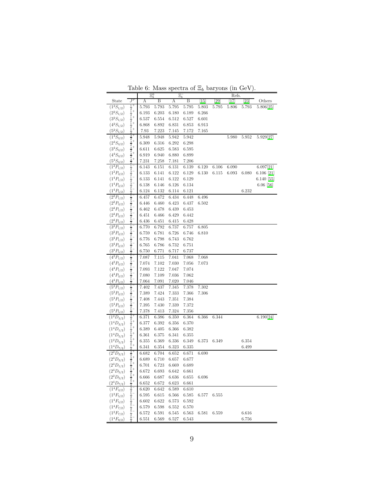<span id="page-8-0"></span>

|  |  | Table 6: Mass spectra of $\Xi_b$ baryons (in GeV). |  |  |
|--|--|----------------------------------------------------|--|--|
|--|--|----------------------------------------------------|--|--|

|                           |                                                                                                                                                                                                                                                                                                                                                                                                                                                           | $\Xi_b^0$ |       | $\Xi_b^-$ |       |         |       | Refs. |                    |              |
|---------------------------|-----------------------------------------------------------------------------------------------------------------------------------------------------------------------------------------------------------------------------------------------------------------------------------------------------------------------------------------------------------------------------------------------------------------------------------------------------------|-----------|-------|-----------|-------|---------|-------|-------|--------------------|--------------|
| State                     | $J^F$                                                                                                                                                                                                                                                                                                                                                                                                                                                     | А         | Β     | А         | Β     | $^{15}$ | 29    | 17    | $\left[ 23\right]$ | Others       |
| $(1^2S_{1/2})$            |                                                                                                                                                                                                                                                                                                                                                                                                                                                           | 5.793     | 5.793 | 5.795     | 5.795 | 5.803   | 5.795 | 5.806 | 5.793              | 5.806[25]    |
| $(2^2S_{1/2})$            |                                                                                                                                                                                                                                                                                                                                                                                                                                                           | 6.193     | 6.203 | 6.180     | 6.189 | 6.266   |       |       |                    |              |
| $(3^2S_{1/2})$            |                                                                                                                                                                                                                                                                                                                                                                                                                                                           | 6.537     | 6.554 | 6.512     | 6.527 | 6.601   |       |       |                    |              |
| $(4^2S_{1/2})$            |                                                                                                                                                                                                                                                                                                                                                                                                                                                           | 6.868     | 6.892 | 6.831     | 6.853 | 6.913   |       |       |                    |              |
| $(5^2S_{1/2})$            |                                                                                                                                                                                                                                                                                                                                                                                                                                                           | 7.93      | 7.223 | 7.145     | 7.172 | 7.165   |       |       |                    |              |
| $(1^4S_{3/2})$            |                                                                                                                                                                                                                                                                                                                                                                                                                                                           | 5.948     | 5.948 | 5.942     | 5.942 |         |       | 5.980 | 5.952              | 5.929[27]    |
| $(2^4S_{3/2})$            |                                                                                                                                                                                                                                                                                                                                                                                                                                                           | 6.309     | 6.316 | 6.292     | 6.298 |         |       |       |                    |              |
| $(3^4S_{3/2})$            |                                                                                                                                                                                                                                                                                                                                                                                                                                                           | 6.611     | 6.625 | 6.583     | 6.595 |         |       |       |                    |              |
| $(4^4S_{3/2})$            |                                                                                                                                                                                                                                                                                                                                                                                                                                                           | 6.919     | 6.940 | 6.880     | 6.899 |         |       |       |                    |              |
| $(5^4S_{3/2})$            |                                                                                                                                                                                                                                                                                                                                                                                                                                                           | 7.231     | 7.258 | 7.181     | 7.206 |         |       |       |                    |              |
| $(1^2P_{1/2})$            |                                                                                                                                                                                                                                                                                                                                                                                                                                                           | 6.143     | 6.151 | 6.131     | 6.139 | 6.120   | 6.106 | 6.090 |                    | 6.097[21]    |
| $(1^2P_{3/2})$            |                                                                                                                                                                                                                                                                                                                                                                                                                                                           | 6.133     | 6.141 | 6.122     | 6.129 | 6.130   | 6.115 | 6.093 | 6.080              | $6.106$ [21] |
| $(1^4P_{1/2})$            |                                                                                                                                                                                                                                                                                                                                                                                                                                                           | 6.133     | 6.141 | 6.122     | 6.129 |         |       |       |                    | $6.140$ [55] |
| $(1^4P_{3/2})$            |                                                                                                                                                                                                                                                                                                                                                                                                                                                           | 6.138     | 6.146 | 6.126     | 6.134 |         |       |       |                    | $6.06$ [56]  |
| $(1^4P_{5/2})$            |                                                                                                                                                                                                                                                                                                                                                                                                                                                           | 6.124     | 6.132 | 6.114     | 6.121 |         |       |       | 6.232              |              |
| $(2^2P_{1/2})$            |                                                                                                                                                                                                                                                                                                                                                                                                                                                           | 6.457     | 6.472 | 6.434     | 6.448 | 6.496   |       |       |                    |              |
| $(2^2P_{3/2})$            |                                                                                                                                                                                                                                                                                                                                                                                                                                                           | 6.446     | 6.460 | 6.423     | 6.437 | 6.502   |       |       |                    |              |
| $(2^4P_{1/2})$            |                                                                                                                                                                                                                                                                                                                                                                                                                                                           | 6.462     | 6.478 | 6.439     | 6.453 |         |       |       |                    |              |
| $(2^4P_{3/2})$            |                                                                                                                                                                                                                                                                                                                                                                                                                                                           | 6.451     | 6.466 | 6.429     | 6.442 |         |       |       |                    |              |
| $(2^4P_{5/2})$            | $\frac{1}{2} \cdot \frac{1}{2} \cdot \frac{1}{2} \cdot \frac{1}{2} \cdot \frac{1}{2} \cdot \frac{1}{2} \cdot \frac{1}{2} \cdot \frac{2}{3} \cdot \frac{3}{2} \cdot \frac{3}{2} \cdot \frac{3}{2} \cdot \frac{3}{2} \cdot \frac{2}{2} \cdot \frac{1}{2} \cdot \frac{2}{2} \cdot \frac{5}{2} \cdot \frac{1}{2} \cdot \frac{2}{2} \cdot \frac{1}{2} \cdot \frac{2}{2} \cdot \frac{1}{2} \cdot \frac{2}{2} \cdot \frac{3}{2} \cdot \frac{2}{2} \cdot \frac{1$ | 6.436     | 6.451 | 6.415     | 6.428 |         |       |       |                    |              |
| $(3^2P_{1/2})$            |                                                                                                                                                                                                                                                                                                                                                                                                                                                           | 6.770     | 6.792 | 6.737     | 6.757 | 6.805   |       |       |                    |              |
| $(3^2P_{3/2})$            |                                                                                                                                                                                                                                                                                                                                                                                                                                                           | 6.759     | 6.781 | 6.726     | 6.746 | 6.810   |       |       |                    |              |
| $(3^4P_{1/2})$            |                                                                                                                                                                                                                                                                                                                                                                                                                                                           | 6.776     | 6.798 | 6.743     | 6.762 |         |       |       |                    |              |
| $(3^4P_{3/2})$            |                                                                                                                                                                                                                                                                                                                                                                                                                                                           | 6.765     | 6.786 | 6.732     | 6.751 |         |       |       |                    |              |
| $(3^4P_{5/2})$            |                                                                                                                                                                                                                                                                                                                                                                                                                                                           | 6.750     | 6.771 | 6.717     | 6.737 |         |       |       |                    |              |
| $\overline{(4^2P_{1/2})}$ |                                                                                                                                                                                                                                                                                                                                                                                                                                                           | 7.087     | 7.115 | 7.041     | 7.068 | 7.068   |       |       |                    |              |
| $(4^2P_{3/2})$            |                                                                                                                                                                                                                                                                                                                                                                                                                                                           | 7.074     | 7.102 | 7.030     | 7.056 | 7.073   |       |       |                    |              |
| $(4^4P_{1/2})$            |                                                                                                                                                                                                                                                                                                                                                                                                                                                           | 7.093     | 7.122 | 7.047     | 7.074 |         |       |       |                    |              |
| $(4^4P_{3/2})$            |                                                                                                                                                                                                                                                                                                                                                                                                                                                           | 7.080     | 7.109 | 7.036     | 7.062 |         |       |       |                    |              |
| $(4^4P_{5/2})$            |                                                                                                                                                                                                                                                                                                                                                                                                                                                           | 7.064     | 7.091 | 7.020     | 7.046 |         |       |       |                    |              |
| $(5^2P_{1/2})$            |                                                                                                                                                                                                                                                                                                                                                                                                                                                           | 7.402     | 7.437 | 7.345     | 7.378 | 7.302   |       |       |                    |              |
| $(5^2P_{3/2})$            |                                                                                                                                                                                                                                                                                                                                                                                                                                                           | 7.389     | 7.424 | 7.333     | 7.366 | 7.306   |       |       |                    |              |
| $(5^4P_{1/2})$            |                                                                                                                                                                                                                                                                                                                                                                                                                                                           | 7.408     | 7.443 | 7.351     | 7.384 |         |       |       |                    |              |
| $(5^4P_{3/2})$            |                                                                                                                                                                                                                                                                                                                                                                                                                                                           | 7.395     | 7.430 | 7.339     | 7.372 |         |       |       |                    |              |
| $(5^4P_{5/2})$            |                                                                                                                                                                                                                                                                                                                                                                                                                                                           | 7.378     | 7.413 | 7.324     | 7.356 |         |       |       |                    |              |
| $(1^2D_{3/2})$            |                                                                                                                                                                                                                                                                                                                                                                                                                                                           | 6.371     | 6.386 | 6.350     | 6.364 | 6.366   | 6.344 |       |                    | 6.190[24]    |
| $(1^4D_{3/2})$            |                                                                                                                                                                                                                                                                                                                                                                                                                                                           | 6.377     | 6.392 | 6.356     | 6.370 |         |       |       |                    |              |
| $(1^4D_{1/2})$            |                                                                                                                                                                                                                                                                                                                                                                                                                                                           | 6.389     | 6.405 | 6.366     | 6.382 |         |       |       |                    |              |
| $(1^4D_{5/2})$            |                                                                                                                                                                                                                                                                                                                                                                                                                                                           | 6.361     | 6.375 | 6.341     | 6.355 |         |       |       |                    |              |
| $(1^2D_{5/2})$            |                                                                                                                                                                                                                                                                                                                                                                                                                                                           | 6.355     | 6.369 | 6.336     | 6.349 | 6.373   | 6.349 |       | 6.354              |              |
| $(1^4D_{7/2})$            |                                                                                                                                                                                                                                                                                                                                                                                                                                                           | 6.341     | 6.354 | 6.323     | 6.335 |         |       |       | 6.499              |              |
| $(2^2D_{3/2})$            |                                                                                                                                                                                                                                                                                                                                                                                                                                                           | 6.682     | 6.704 | 6.652     | 6.671 | 6.690   |       |       |                    |              |
| $(2^4D_{3/2})$            |                                                                                                                                                                                                                                                                                                                                                                                                                                                           | 6.689     | 6.710 | 6.657     | 6.677 |         |       |       |                    |              |
| $(2^4D_{1/2})$            |                                                                                                                                                                                                                                                                                                                                                                                                                                                           | 6.701     | 6.723 | 6.669     | 6.689 |         |       |       |                    |              |
| $(2^4D_{5/2})$            |                                                                                                                                                                                                                                                                                                                                                                                                                                                           | 6.672     | 6.693 | 6.642     | 6.661 |         |       |       |                    |              |
| $(2^2D_{5/2})$            |                                                                                                                                                                                                                                                                                                                                                                                                                                                           | 6.666     | 6.687 | 6.636     | 6.655 | 6.696   |       |       |                    |              |
| $(2^4D_{7/2})$            |                                                                                                                                                                                                                                                                                                                                                                                                                                                           | 6.652     | 6.672 | 6.623     | 6.661 |         |       |       |                    |              |
| $\overline{(1^4F_{3/2})}$ |                                                                                                                                                                                                                                                                                                                                                                                                                                                           | 6.620     | 6.642 | 6.589     | 6.610 |         |       |       |                    |              |
| $(1^2F_{5/2})$            |                                                                                                                                                                                                                                                                                                                                                                                                                                                           | 6.595     | 6.615 | 6.566     | 6.585 | 6.577   | 6.555 |       |                    |              |
| $(1^4F_{5/2})$            |                                                                                                                                                                                                                                                                                                                                                                                                                                                           | 6.602     | 6.622 | 6.573     | 6.592 |         |       |       |                    |              |
| $(1^4F_{7/2})$            |                                                                                                                                                                                                                                                                                                                                                                                                                                                           | 6.579     | 6.598 | 6.552     | 6.570 |         |       |       |                    |              |
| $(1^2F_{7/2})$            |                                                                                                                                                                                                                                                                                                                                                                                                                                                           | 6.572     | 6.591 | 6.545     | 6.563 | 6.581   | 6.559 |       | 6.616              |              |
| $(1^4F_{9/2})$            |                                                                                                                                                                                                                                                                                                                                                                                                                                                           | 6.551     | 6.569 | 6.527     | 6.543 |         |       |       | 6.756              |              |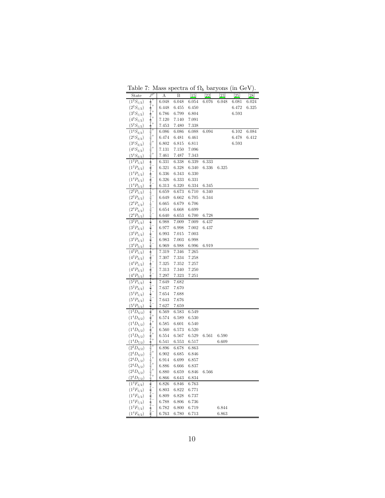<span id="page-9-0"></span>

| ranic                     | . .                                                                                                                                                                                                                                               |       | таз эресыа ог | 0.4b                          |       | <b>Dal</b> YOILS | $\mu$ at $\sigma$ $\mu$ |           |
|---------------------------|---------------------------------------------------------------------------------------------------------------------------------------------------------------------------------------------------------------------------------------------------|-------|---------------|-------------------------------|-------|------------------|-------------------------|-----------|
| State                     | $J^P$                                                                                                                                                                                                                                             | Α     | B             | $\left\lceil 15 \right\rceil$ | [22]  | [23]             | $^{25}$                 | $^{[28]}$ |
| $(1^2S_{1/2})$            |                                                                                                                                                                                                                                                   | 6.048 | 6.048         | 6.054                         | 6.076 | 6.048            | 6.081                   | 6.024     |
| $(2^2S_{1/2})$            | $\frac{1}{2}$ +<br>$\frac{1}{2}$ +                                                                                                                                                                                                                | 6.448 | 6.455         | 6.450                         |       |                  | 6.472                   | 6.325     |
| $(3^2S_{1/2})$            |                                                                                                                                                                                                                                                   | 6.786 | 6.799         | 6.804                         |       |                  | 6.593                   |           |
| $(4^2S_{1/2})$            |                                                                                                                                                                                                                                                   | 7.120 | 7.140         | 7.091                         |       |                  |                         |           |
| $(5^2S_{1/2})$            | $\frac{1}{2}$<br>$\frac{1}{2}$ +                                                                                                                                                                                                                  | 7.453 | 7.480         | 7.338                         |       |                  |                         |           |
| $(1^4S_{3/2})$            |                                                                                                                                                                                                                                                   | 6.086 | 6.086         | 6.088                         | 6.094 |                  | 6.102                   | 6.084     |
| $(2^4S_{3/2})$            |                                                                                                                                                                                                                                                   | 6.474 | 6.481         | 6.461                         |       |                  | 6.478                   | 6.412     |
| $(3^4S_{3/2})$            |                                                                                                                                                                                                                                                   | 6.802 | 6.815         | 6.811                         |       |                  | 6.593                   |           |
| $(4^4S_{3/2})$            |                                                                                                                                                                                                                                                   | 7.131 | 7.150         | 7.096                         |       |                  |                         |           |
| $(5^4S_{3/2})$            | $\frac{3}{2}$ $\frac{3}{2}$ $\frac{3}{2}$ $\frac{3}{2}$ $\frac{3}{2}$ $\frac{3}{2}$ $\frac{3}{2}$                                                                                                                                                 | 7.461 | 7.487         | 7.343                         |       |                  |                         |           |
| $\overline{(1^2P_{1/2})}$ |                                                                                                                                                                                                                                                   | 6.331 | 6.338         | 6.339                         | 6.333 |                  |                         |           |
| $(1^2P_{3/2})$            | $\frac{1}{2}$ $\frac{3}{2}$ $\frac{3}{2}$ $\frac{1}{2}$ $\frac{3}{2}$ $\frac{3}{2}$ $\frac{3}{2}$ $\frac{3}{2}$                                                                                                                                   | 6.321 | 6.328         | 6.340                         | 6.336 | 6.325            |                         |           |
| $(1^4P_{1/2})$            |                                                                                                                                                                                                                                                   | 6.336 | 6.343         | 6.330                         |       |                  |                         |           |
| $(1^4P_{3/2})$            |                                                                                                                                                                                                                                                   | 6.326 | 6.333         | 6.331                         |       |                  |                         |           |
| $(1^4P_{5/2})$            |                                                                                                                                                                                                                                                   | 6.313 | 6.320         | 6.334                         | 6.345 |                  |                         |           |
| $\sqrt{(2^2P_{1/2})}$     |                                                                                                                                                                                                                                                   | 6.659 | 6.673         | 6.710                         | 6.340 |                  |                         |           |
| $(2^2P_{3/2})$            | $\frac{1}{2} \frac{2}{3} \frac{3}{2} \frac{1}{2} \frac{1}{2} \frac{3}{2} \frac{5}{2} \frac{2}{2} \frac{5}{2} \frac{2}{2} \frac{1}{2} \frac{2}{2} \frac{3}{2} \frac{5}{2} \frac{2}{2} \frac{5}{2} \frac{2}{2}$                                     | 6.649 | 6.662         | 6.705                         | 6.344 |                  |                         |           |
| $(2^4P_{1/2})$            |                                                                                                                                                                                                                                                   | 6.665 | 6.679         | 6.706                         |       |                  |                         |           |
| $(2^4P_{3/2})$            |                                                                                                                                                                                                                                                   | 6.654 | 6.668         | 6.699                         |       |                  |                         |           |
| $(2^4P_{5/2})$            |                                                                                                                                                                                                                                                   | 6.640 | 6.653         | 6.700                         | 6.728 |                  |                         |           |
| $(3^2P_{1/2})$            |                                                                                                                                                                                                                                                   | 6.988 | 7.009         | 7.009                         | 6.437 |                  |                         |           |
| $(3^2P_{3/2})$            |                                                                                                                                                                                                                                                   | 6.977 | 6.998         | 7.002                         | 6.437 |                  |                         |           |
| $(3^4P_{1/2})$            |                                                                                                                                                                                                                                                   | 6.993 | 7.015         | 7.003                         |       |                  |                         |           |
| $(3^4P_{3/2})$            |                                                                                                                                                                                                                                                   | 6.983 | 7.003         | 6.998                         |       |                  |                         |           |
| $(3^4P_{5/2})$            |                                                                                                                                                                                                                                                   | 6.969 | 6.988         | 6.996                         | 6.919 |                  |                         |           |
| $\overline{(4^2P_{1/2})}$ |                                                                                                                                                                                                                                                   | 7.319 | 7.346         | 7.265                         |       |                  |                         |           |
| $(4^2P_{3/2})$            |                                                                                                                                                                                                                                                   | 7.307 | 7.334         | 7.258                         |       |                  |                         |           |
| $(4^4P_{1/2})$            |                                                                                                                                                                                                                                                   | 7.325 | 7.352         | 7.257                         |       |                  |                         |           |
| $(4^4P_{3/2})$            |                                                                                                                                                                                                                                                   | 7.313 | 7.340         | 7.250                         |       |                  |                         |           |
| $(4^4P_{5/2})$            | $\frac{1}{2}$ $\frac{2}{3}$ $\frac{3}{2}$ $\frac{3}{2}$ $\frac{3}{2}$ $\frac{3}{2}$ $\frac{3}{2}$ $\frac{3}{2}$                                                                                                                                   | 7.297 | 7.323         | 7.251                         |       |                  |                         |           |
| $(5^2P_{1/2})$            |                                                                                                                                                                                                                                                   | 7.649 | 7.682         |                               |       |                  |                         |           |
| $(5^2P_{3/2})$            | $\frac{1}{2}$ $\frac{3}{2}$ $\frac{3}{2}$ $\frac{1}{2}$ $\frac{3}{2}$ $\frac{3}{2}$ $\frac{3}{2}$ $\frac{3}{2}$                                                                                                                                   | 7.637 | 7.670         |                               |       |                  |                         |           |
| $(5^4P_{1/2})$            |                                                                                                                                                                                                                                                   | 7.654 | 7.688         |                               |       |                  |                         |           |
| $(5^4P_{3/2})$            |                                                                                                                                                                                                                                                   | 7.643 | 7.676         |                               |       |                  |                         |           |
| $(5^4P_{5/2})$            |                                                                                                                                                                                                                                                   | 7.627 | 7.659         |                               |       |                  |                         |           |
| $(1^2D_{3/2})$            |                                                                                                                                                                                                                                                   | 6.569 | 6.583         | 6.549                         |       |                  |                         |           |
| $(1^4D_{3/2})$            |                                                                                                                                                                                                                                                   | 6.574 | 6.589         | 6.530                         |       |                  |                         |           |
| $(1^4D_{1/2})$            |                                                                                                                                                                                                                                                   | 6.585 | 6.601         | 6.540                         |       |                  |                         |           |
| $(1^4D_{5/2})$            |                                                                                                                                                                                                                                                   | 6.560 | 6.573         | 6.520                         |       |                  |                         |           |
| $(1^2D_{5/2})$            |                                                                                                                                                                                                                                                   | 6.554 | 6.567         | 6.529                         | 6.561 | 6.590            |                         |           |
| $(1^4D_{7/2})$            |                                                                                                                                                                                                                                                   | 6.541 | 6.553         | 6.517                         |       | 6.609            |                         |           |
| $\sqrt{(2^2D_{3/2})}$     |                                                                                                                                                                                                                                                   | 6.896 | 6.678         | 6.863                         |       |                  |                         |           |
| $(2^4D_{3/2})$            |                                                                                                                                                                                                                                                   | 6.902 | 6.685         | 6.846                         |       |                  |                         |           |
| $(2^4D_{1/2})$            |                                                                                                                                                                                                                                                   | 6.914 | 6.699         | 6.857                         |       |                  |                         |           |
| $(2^4D_{5/2})$            |                                                                                                                                                                                                                                                   | 6.886 | 6.666         | 6.837                         |       |                  |                         |           |
| $(2^2D_{5/2})$            |                                                                                                                                                                                                                                                   | 6.880 | 6.659         | 6.846                         | 6.566 |                  |                         |           |
| $(2^4D_{7/2})$            | $\frac{3}{2} \frac{2}{2} \frac{3}{2} \frac{1}{2} \frac{5}{2} \frac{5}{2} \frac{2}{5} \frac{7}{2} \frac{7}{2} \frac{2}{2} \frac{3}{2} \frac{2}{2} \frac{3}{2} \frac{1}{2} \frac{1}{2} \frac{2}{2} \frac{5}{2} \frac{2}{2} \frac{7}{2} \frac{7}{2}$ | 6.866 | 6.643         | 6.834                         |       |                  |                         |           |
| $\overline{(1^4F_{3/2})}$ |                                                                                                                                                                                                                                                   | 6.826 | 6.846         | 6.763                         |       |                  |                         |           |
| $(1^2F_{5/2})$            |                                                                                                                                                                                                                                                   | 6.803 | 6.822         | 6.771                         |       |                  |                         |           |
| $(1^4F_{5/2})$            |                                                                                                                                                                                                                                                   | 6.809 | 6.828         | 6.737                         |       |                  |                         |           |
| $(1^4F_{7/2})$            |                                                                                                                                                                                                                                                   | 6.788 | 6.806         | 6.736                         |       |                  |                         |           |
| $(1^2F_{7/2})$            |                                                                                                                                                                                                                                                   | 6.782 | 6.800         | 6.719                         |       | 6.844            |                         |           |
| $(1^4F_{9/2})$            | $\frac{3}{2}$ $\frac{5}{2}$ $\frac{5}{2}$ $\frac{5}{2}$ $\frac{7}{2}$ $\frac{7}{2}$ $\frac{7}{2}$ $\frac{9}{2}$                                                                                                                                   | 6.763 | 6.780         | 6.713                         |       | 6.863            |                         |           |

Table 7: Mass spectra of  $\Omega_b$  baryons (in GeV).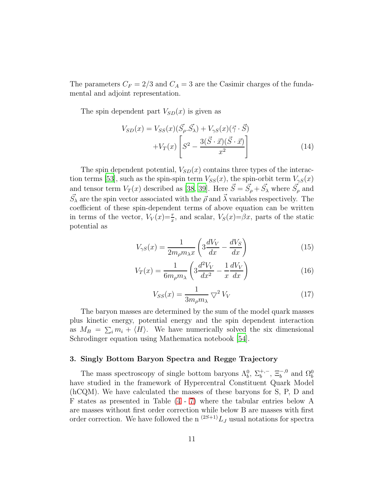The parameters  $C_F = 2/3$  and  $C_A = 3$  are the Casimir charges of the fundamental and adjoint representation.

The spin dependent part  $V_{SD}(x)$  is given as

$$
V_{SD}(x) = V_{SS}(x)(\vec{S_\rho} \cdot \vec{S_\lambda}) + V_{\gamma S}(x)(\vec{\gamma} \cdot \vec{S})
$$

$$
+ V_T(x) \left[ S^2 - \frac{3(\vec{S} \cdot \vec{x})(\vec{S} \cdot \vec{x})}{x^2} \right]
$$
(14)

The spin dependent potential,  $V_{SD}(x)$  contains three types of the interac-tion terms [\[53\]](#page-20-12), such as the spin-spin term  $V_{SS}(x)$ , the spin-orbit term  $V_{\gamma S}(x)$ and tensor term  $V_T(x)$  described as [\[38](#page-19-12), [39\]](#page-19-13). Here  $\vec{S} = \vec{S}_{\rho} + \vec{S}_{\lambda}$  where  $\vec{S}_{\rho}$  and  $\vec{S}_{\lambda}$  are the spin vector associated with the  $\vec{\rho}$  and  $\vec{\lambda}$  variables respectively. The coefficient of these spin-dependent terms of above equation can be written in terms of the vector,  $V_V(x) = \frac{\tau}{x}$ , and scalar,  $V_S(x) = \beta x$ , parts of the static potential as

$$
V_{\gamma S}(x) = \frac{1}{2m_{\rho}m_{\lambda}x} \left(3\frac{dV_V}{dx} - \frac{dV_S}{dx}\right) \tag{15}
$$

$$
V_T(x) = \frac{1}{6m_\rho m_\lambda} \left( 3\frac{d^2 V_V}{dx^2} - \frac{1}{x}\frac{dV_V}{dx} \right) \tag{16}
$$

$$
V_{SS}(x) = \frac{1}{3m_{\rho}m_{\lambda}} \nabla^2 V_V \tag{17}
$$

The baryon masses are determined by the sum of the model quark masses plus kinetic energy, potential energy and the spin dependent interaction as  $M_B = \sum_i m_i + \langle H \rangle$ . We have numerically solved the six dimensional Schrodinger equation using Mathematica notebook [\[54\]](#page-20-13).

#### 3. Singly Bottom Baryon Spectra and Regge Trajectory

The mass spectroscopy of single bottom baryons  $\Lambda_b^0$ ,  $\Sigma_b^{+,-}$ ,  $\Xi_b^{-,0}$  and  $\Omega_b^0$ have studied in the framework of Hypercentral Constituent Quark Model (hCQM). We have calculated the masses of these baryons for S, P, D and F states as presented in Table [\(4](#page-6-0) - [7\)](#page-9-0) where the tabular entries below A are masses without first order correction while below B are masses with first order correction. We have followed the n  $(2S+1)$ <sub>LJ</sub> usual notations for spectra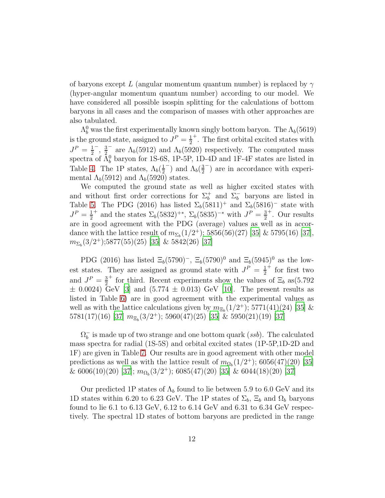of baryons except L (angular momentum quantum number) is replaced by  $\gamma$ (hyper-angular momentum quantum number) according to our model. We have considered all possible isospin splitting for the calculations of bottom baryons in all cases and the comparison of masses with other approaches are also tabulated.

 $\Lambda_b^0$  was the first experimentally known singly bottom baryon. The  $\Lambda_b(5619)$ is the ground state, assigned to  $J^P = \frac{1}{2}$ 2 + . The first orbital excited states with  $J^P = \frac{1}{2}$  $\frac{1}{2}^{-}$ ,  $\frac{3}{2}$  $\frac{3}{2}$  are  $\Lambda_b(5912)$  and  $\Lambda_b(5920)$  respectively. The computed mass spectra of  $\bar{\Lambda}^0_b$  baryon for 1S-6S, 1P-5P, 1D-4D and 1F-4F states are listed in Table [4.](#page-6-0) The 1P states,  $\Lambda_b(\frac{1}{2})$  $\frac{1}{2}$ ) and  $\Lambda_b(\frac{3}{2})$  $\frac{3}{2}$ ) are in accordance with experimental  $\Lambda_b(5912)$  and  $\Lambda_b(5920)$  states.

We computed the ground state as well as higher excited states with and without first order corrections for  $\Sigma_b^+$  and  $\Sigma_b^-$  baryons are listed in Table [5.](#page-7-0) The PDG (2016) has listed  $\Sigma_b(5811)^+$  and  $\Sigma_b(5816)^-$  state with  $J^P = \frac{1}{2}$ 2 <sup>+</sup> and the states  $\Sigma_b(5832)^{+*}, \Sigma_b(5835)^{-*}$  with  $J^P = \frac{3}{2}$ 2 + . Our results are in good agreement with the PDG (average) values as well as in accordance with the lattice result of  $m_{\Sigma_b}(1/2^+); 5856(56)(27)$  [\[35\]](#page-19-9) & 5795(16) [\[37\]](#page-19-11),  $m_{\Sigma_b}(3/2^+);5877(55)(25)$  [\[35](#page-19-9)] & 5842(26) [\[37\]](#page-19-11)

PDG (2016) has listed  $\Xi_b(5790)^-$ ,  $\Xi_b(5790)^0$  and  $\Xi_b(5945)^0$  as the lowest states. They are assigned as ground state with  $J^P = \frac{1}{2}$ 2 + for first two and  $J^P = \frac{3}{2}$ 2 <sup>+</sup> for third. Recent experiments show the values of  $\Xi_b$  as(5.792)  $\pm$  0.0024) GeV [\[3\]](#page-17-2) and (5.774  $\pm$  0.013) GeV [\[10\]](#page-18-1). The present results as listed in Table [6\)](#page-8-0) are in good agreement with the experimental values as well as with the lattice calculations given by  $m_{\Xi_b}(1/2^+); 5771(41)(24)$  [\[35\]](#page-19-9) &  $5781(17)(16)$   $[37]$   $m_{\Xi_b}(3/2^+);$   $5960(47)(25)$   $[35]$  &  $5950(21)(19)$   $[37]$ 

 $\Omega_b^-$  is made up of two strange and one bottom quark (*ssb*). The calculated mass spectra for radial (1S-5S) and orbital excited states (1P-5P,1D-2D and 1F) are given in Table [7.](#page-9-0) Our results are in good agreement with other model predictions as well as with the lattice result of  $m_{\Omega_b}(1/2^+); 6056(47)(20)$  [\[35](#page-19-9)]  $\&$  6006(10)(20) [\[37\]](#page-19-11);  $m_{\Omega_b}(3/2^+);$  6085(47)(20) [\[35\]](#page-19-9)  $\&$  6044(18)(20) [37]

Our predicted 1P states of  $\Lambda_b$  found to lie between 5.9 to 6.0 GeV and its 1D states within 6.20 to 6.23 GeV. The 1P states of  $\Sigma_b$ ,  $\Xi_b$  and  $\Omega_b$  baryons found to lie 6.1 to 6.13 GeV, 6.12 to 6.14 GeV and 6.31 to 6.34 GeV respectively. The spectral 1D states of bottom baryons are predicted in the range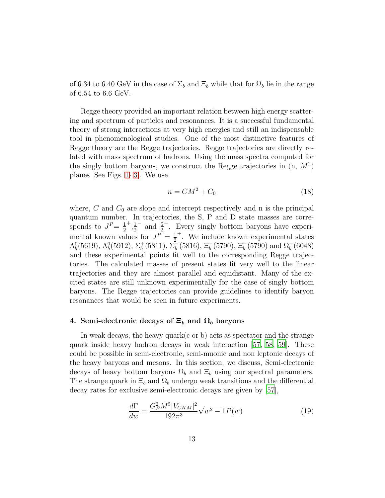of 6.34 to 6.40 GeV in the case of  $\Sigma_b$  and  $\Xi_b$  while that for  $\Omega_b$  lie in the range of 6.54 to 6.6 GeV.

Regge theory provided an important relation between high energy scattering and spectrum of particles and resonances. It is a successful fundamental theory of strong interactions at very high energies and still an indispensable tool in phenomenological studies. One of the most distinctive features of Regge theory are the Regge trajectories. Regge trajectories are directly related with mass spectrum of hadrons. Using the mass spectra computed for the singly bottom baryons, we construct the Regge trajectories in  $(n, M<sup>2</sup>)$ planes [See Figs. [1-](#page-13-0) [3\]](#page-14-0). We use

$$
n = CM^2 + C_0 \tag{18}
$$

where,  $C$  and  $C_0$  are slope and intercept respectively and n is the principal quantum number. In trajectories, the S, P and D state masses are corresponds to  $J^P = \frac{1}{2}$ 2  $^+$ ,  $\frac{1}{2}$  $rac{1}{2}$  and  $rac{5}{2}$ + . Every singly bottom baryons have experimental known values for  $J^P = \frac{1}{2}$ 2 + . We include known experimental states  $\Lambda_b^0(5619), \Lambda_b^0(5912), \Sigma_b^+(5811), \Sigma_b^-(5816), \Xi_b^-(5790), \Xi_b^-(5790)$  and  $\Omega_b^-(6048)$ and these experimental points fit well to the corresponding Regge trajectories. The calculated masses of present states fit very well to the linear trajectories and they are almost parallel and equidistant. Many of the excited states are still unknown experimentally for the case of singly bottom baryons. The Regge trajectories can provide guidelines to identify baryon resonances that would be seen in future experiments.

### 4. Semi-electronic decays of  $\Xi_b$  and  $\Omega_b$  baryons

In weak decays, the heavy quark $(c \text{ or } b)$  acts as spectator and the strange quark inside heavy hadron decays in weak interaction [\[57,](#page-20-14) [58](#page-20-15), [59](#page-20-16)]. These could be possible in semi-electronic, semi-muonic and non leptonic decays of the heavy baryons and mesons. In this section, we discuss, Semi-electronic decays of heavy bottom baryons  $\Omega_b$  and  $\Xi_b$  using our spectral parameters. The strange quark in  $\Xi_b$  and  $\Omega_b$  undergo weak transitions and the differential decay rates for exclusive semi-electronic decays are given by [\[57\]](#page-20-14),

<span id="page-12-0"></span>
$$
\frac{d\Gamma}{dw} = \frac{G_F^2 M^5 |V_{CKM}|^2}{192\pi^3} \sqrt{w^2 - 1} P(w)
$$
\n(19)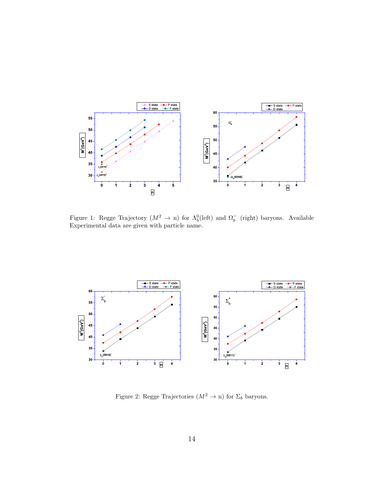

<span id="page-13-0"></span>Figure 1: Regge Trajectory  $(M^2 \to n)$  for  $\Lambda_b^0$ (left) and  $\Omega_b^-$  (right) baryons. Available Experimental data are given with particle name.



Figure 2: Regge Trajectories  $(M^2 \to n)$  for  $\Sigma_b$  baryons.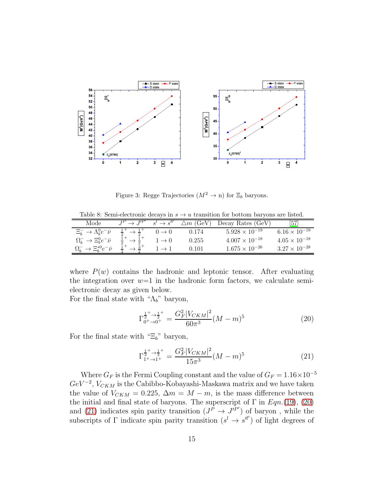

<span id="page-14-3"></span><span id="page-14-0"></span>Figure 3: Regge Trajectories  $(M^2 \to n)$  for  $\Xi_b$  baryons.

Table 8: Semi-electronic decays in  $s \to u$  transition for bottom baryons are listed.

| Mode                                    | T/P | (GeV)<br>$\triangle m$ ( | Decay Rates (GeV)       | 57                     |
|-----------------------------------------|-----|--------------------------|-------------------------|------------------------|
| $\Xi_b^- \to \Lambda_b^0 e^- \bar{\nu}$ |     | 0.174                    | $5.928 \times 10^{-19}$ | $6.16 \times 10^{-19}$ |
| $\Omega_b^- \to \Xi_b^0 e^- \bar{\nu}$  |     | 0.255                    | $4.007 \times 10^{-18}$ | $4.05 \times 10^{-18}$ |
| $\Xi^{*0}$<br>$\Omega_h$                |     | ).101                    | $1.675 \times 10^{-26}$ | $3.27 \times 10^{-28}$ |

where  $P(w)$  contains the hadronic and leptonic tensor. After evaluating the integration over  $w=1$  in the hadronic form factors, we calculate semielectronic decay as given below.

For the final state with " $\Lambda_b$ " baryon,

<span id="page-14-1"></span>
$$
\Gamma_{0^+\to 0^+}^{\frac{1}{2^+} \to \frac{1}{2^+}} = \frac{G_F^2 |V_{CKM}|^2}{60\pi^3} (M-m)^5 \tag{20}
$$

For the final state with " $\Xi_b$ " baryon,

<span id="page-14-2"></span>
$$
\Gamma_{1^+ \to 1^+}^{\frac{1}{2^+} \to \frac{1}{2^+}} = \frac{G_F^2 |V_{CKM}|^2}{15\pi^3} (M - m)^5 \tag{21}
$$

Where  $G_F$  is the Fermi Coupling constant and the value of  $G_F = 1.16 \times 10^{-5}$  $GeV^{-2}$ ,  $V_{CKM}$  is the Cabibbo-Kobayashi-Maskawa matrix and we have taken the value of  $V_{CKM} = 0.225$ ,  $\Delta m = M - m$ , is the mass difference between the initial and final state of baryons. The superscript of  $\Gamma$  in  $Eqn.(19), (20)$  $Eqn.(19), (20)$  $Eqn.(19), (20)$  $Eqn.(19), (20)$ and [\(21\)](#page-14-2) indicates spin parity transition  $(J^{\tilde{P}} \to J^{\tilde{P}'})$  of baryon, while the subscripts of  $\Gamma$  indicate spin parity transition  $(s^l \to s^{l'} )$  of light degrees of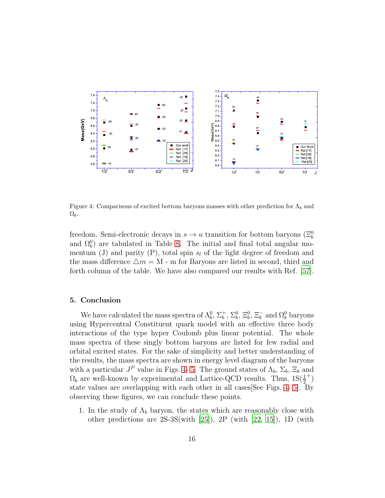

<span id="page-15-0"></span>Figure 4: Comparisons of excited bottom baryons masses with other prediction for  $\Lambda_b$  and  $\Omega_b$ .

freedom. Semi-electronic decays in  $s \to u$  transition for bottom baryons  $(\Xi_b^0)$ and  $\Omega_b^0$  are tabulated in Table [8.](#page-14-3) The initial and final total angular momentum (J) and parity (P), total spin  $s_l$  of the light degree of freedom and the mass difference  $\Delta m = M$  - m for Baryons are listed in second, third and forth column of the table. We have also compared our results with Ref. [\[57\]](#page-20-14).

#### 5. Conclusion

We have calculated the mass spectra of  $\Lambda_b^0$ ,  $\Sigma_b^+$ ,  $\Sigma_b^0$ ,  $\Xi_b^0$ ,  $\Xi_b^-$  and  $\Omega_b^0$  baryons using Hypercentral Constituent quark model with an effective three body interactions of the type hyper Coulomb plus linear potential. The whole mass spectra of these singly bottom baryons are listed for few radial and orbital excited states. For the sake of simplicity and better understanding of the results, the mass spectra are shown in energy level diagram of the baryons with a particular  $J^P$  value in Figs. [4-](#page-15-0)5. The ground states of  $\Lambda_b$ ,  $\Sigma_b$ ,  $\Xi_b$  and  $\Omega_b$  are well-known by experimental and Lattice-QCD results. Thus,  $1S(\frac{1}{2})$ 2  $^{+})$ state values are overlapping with each other in all cases[See Figs. [4-](#page-15-0) [5\]](#page-16-0). By observing these figures, we can conclude these points.

1. In the study of  $\Lambda_b$  baryon, the states which are reasonably close with other predictions are 2S-3S(with [\[25\]](#page-19-0)), 2P (with [\[22,](#page-18-13) [15\]](#page-18-6)), 1D (with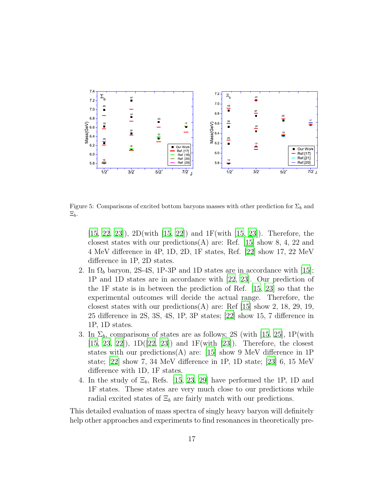

Figure 5: Comparisons of excited bottom baryons masses with other prediction for  $\Sigma_b$  and  $\Xi_b$ .

<span id="page-16-0"></span>[\[15](#page-18-6), [22,](#page-18-13) [23](#page-18-14)]), 2D(with [\[15,](#page-18-6) [22\]](#page-18-13)) and 1F(with [\[15,](#page-18-6) [23\]](#page-18-14)). Therefore, the closest states with our predictions  $(A)$  are: Ref. [\[15\]](#page-18-6) show 8, 4, 22 and 4 MeV difference in 4P, 1D, 2D, 1F states, Ref. [\[22\]](#page-18-13) show 17, 22 MeV difference in 1P, 2D states.

- 2. In  $\Omega_b$  baryon, 2S-4S, 1P-3P and 1D states are in accordance with [\[15\]](#page-18-6); 1P and 1D states are in accordance with [\[22,](#page-18-13) [23](#page-18-14)]. Our prediction of the 1F state is in between the prediction of Ref. [\[15,](#page-18-6) [23](#page-18-14)] so that the experimental outcomes will decide the actual range. Therefore, the closest states with our predictions(A) are: Ref  $[15]$  show 2, 18, 29, 19, 25 difference in 2S, 3S, 4S, 1P, 3P states; [\[22\]](#page-18-13) show 15, 7 difference in 1P, 1D states.
- 3. In  $\Sigma_b$ , comparisons of states are as follows; 2S (with [\[15](#page-18-6), [25\]](#page-19-0), 1P(with  $[15, 23, 22]$  $[15, 23, 22]$  $[15, 23, 22]$  $[15, 23, 22]$  $[15, 23, 22]$ ,  $1D([22, 23])$  $1D([22, 23])$  $1D([22, 23])$  and  $1F(\text{with } [23])$  $1F(\text{with } [23])$  $1F(\text{with } [23])$ . Therefore, the closest states with our predictions(A) are: [\[15](#page-18-6)] show 9 MeV difference in 1P state; [\[22\]](#page-18-13) show 7, 34 MeV difference in 1P, 1D state; [\[23\]](#page-18-14) 6, 15 MeV difference with 1D, 1F states.
- 4. In the study of  $\Xi_b$ , Refs. [\[15,](#page-18-6) [23,](#page-18-14) [29](#page-19-3)] have performed the 1P, 1D and 1F states. These states are very much close to our predictions while radial excited states of  $\Xi_b$  are fairly match with our predictions.

This detailed evaluation of mass spectra of singly heavy baryon will definitely help other approaches and experiments to find resonances in theoretically pre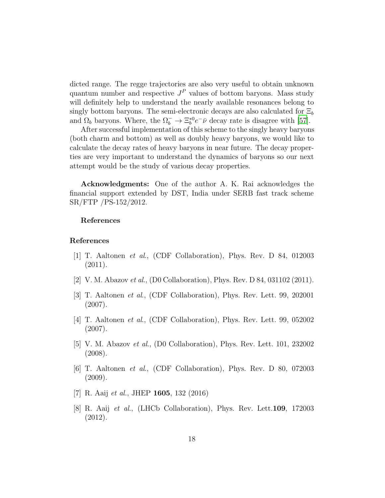dicted range. The regge trajectories are also very useful to obtain unknown quantum number and respective  $J<sup>P</sup>$  values of bottom baryons. Mass study will definitely help to understand the nearly available resonances belong to singly bottom baryons. The semi-electronic decays are also calculated for  $\Xi_b$ and  $\Omega_b$  baryons. Where, the  $\Omega_b^- \to \Xi_b^{*0} e^- \bar{\nu}$  decay rate is disagree with [\[57\]](#page-20-14).

After successful implementation of this scheme to the singly heavy baryons (both charm and bottom) as well as doubly heavy baryons, we would like to calculate the decay rates of heavy baryons in near future. The decay properties are very important to understand the dynamics of baryons so our next attempt would be the study of various decay properties.

Acknowledgments: One of the author A. K. Rai acknowledges the financial support extended by DST, India under SERB fast track scheme SR/FTP /PS-152/2012.

#### References

#### References

- <span id="page-17-0"></span>[1] T. Aaltonen *et al*., (CDF Collaboration), Phys. Rev. D 84, 012003 (2011).
- <span id="page-17-1"></span>[2] V. M. Abazov *et al*., (D0 Collaboration), Phys. Rev. D 84, 031102 (2011).
- <span id="page-17-2"></span>[3] T. Aaltonen *et al*., (CDF Collaboration), Phys. Rev. Lett. 99, 202001 (2007).
- <span id="page-17-3"></span>[4] T. Aaltonen *et al*., (CDF Collaboration), Phys. Rev. Lett. 99, 052002 (2007).
- <span id="page-17-4"></span>[5] V. M. Abazov *et al*., (D0 Collaboration), Phys. Rev. Lett. 101, 232002 (2008).
- <span id="page-17-5"></span>[6] T. Aaltonen *et al*., (CDF Collaboration), Phys. Rev. D 80, 072003 (2009).
- <span id="page-17-6"></span>[7] R. Aaij *et al.*, JHEP 1605, 132 (2016)
- <span id="page-17-7"></span>[8] R. Aaij *et al*., (LHCb Collaboration), Phys. Rev. Lett.109, 172003 (2012).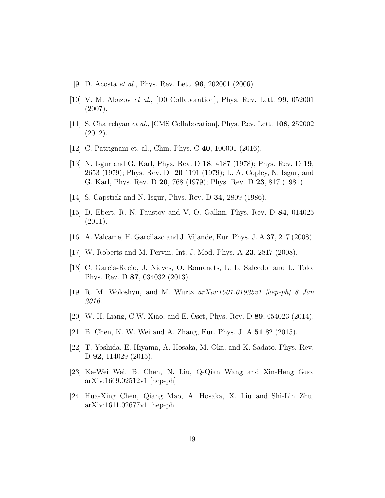- <span id="page-18-0"></span>[9] D. Acosta *et al*., Phys. Rev. Lett. 96, 202001 (2006)
- <span id="page-18-1"></span>[10] V. M. Abazov *et al*., [D0 Collaboration], Phys. Rev. Lett. 99, 052001 (2007).
- <span id="page-18-2"></span>[11] S. Chatrchyan *et al*., [CMS Collaboration], Phys. Rev. Lett. 108, 252002 (2012).
- <span id="page-18-3"></span>[12] C. Patrignani et. al., Chin. Phys. C **40**, 100001 (2016).
- <span id="page-18-4"></span>[13] N. Isgur and G. Karl, Phys. Rev. D 18, 4187 (1978); Phys. Rev. D 19, 2653 (1979); Phys. Rev. D 20 1191 (1979); L. A. Copley, N. Isgur, and G. Karl, Phys. Rev. D 20, 768 (1979); Phys. Rev. D 23, 817 (1981).
- <span id="page-18-5"></span>[14] S. Capstick and N. Isgur, Phys. Rev. D **34**, 2809 (1986).
- <span id="page-18-6"></span>[15] D. Ebert, R. N. Faustov and V. O. Galkin, Phys. Rev. D 84, 014025 (2011).
- <span id="page-18-7"></span> $[16]$  A. Valcarce, H. Garcilazo and J. Vijande, Eur. Phys. J. A 37, 217 (2008).
- <span id="page-18-8"></span>[17] W. Roberts and M. Pervin, Int. J. Mod. Phys. A 23, 2817 (2008).
- <span id="page-18-9"></span>[18] C. Garcia-Recio, J. Nieves, O. Romanets, L. L. Salcedo, and L. Tolo, Phys. Rev. D 87, 034032 (2013).
- <span id="page-18-10"></span>[19] R. M. Woloshyn, and M. Wurtz *arXiv:1601.01925v1 [hep-ph] 8 Jan 2016.*
- <span id="page-18-11"></span>[20] W. H. Liang, C.W. Xiao, and E. Oset, Phys. Rev. D 89, 054023 (2014).
- <span id="page-18-12"></span>[21] B. Chen, K. W. Wei and A. Zhang, Eur. Phys. J. A 51 82 (2015).
- <span id="page-18-13"></span>[22] T. Yoshida, E. Hiyama, A. Hosaka, M. Oka, and K. Sadato, Phys. Rev. D **92**, 114029 (2015).
- <span id="page-18-14"></span>[23] Ke-Wei Wei, B. Chen, N. Liu, Q-Qian Wang and Xin-Heng Guo, arXiv:1609.02512v1 [hep-ph]
- <span id="page-18-15"></span>[24] Hua-Xing Chen, Qiang Mao, A. Hosaka, X. Liu and Shi-Lin Zhu, arXiv:1611.02677v1 [hep-ph]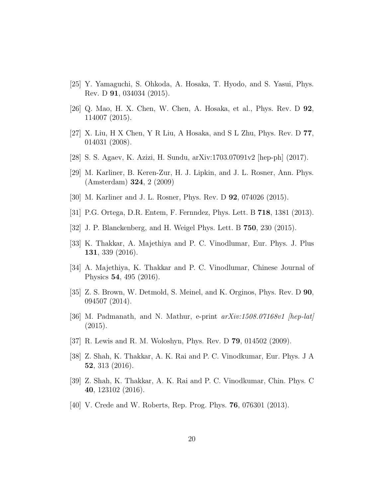- <span id="page-19-0"></span>[25] Y. Yamaguchi, S. Ohkoda, A. Hosaka, T. Hyodo, and S. Yasui, Phys. Rev. D 91, 034034 (2015).
- <span id="page-19-1"></span>[26] Q. Mao, H. X. Chen, W. Chen, A. Hosaka, et al., Phys. Rev. D 92, 114007 (2015).
- <span id="page-19-2"></span>[27] X. Liu, H X Chen, Y R Liu, A Hosaka, and S L Zhu, Phys. Rev. D 77, 014031 (2008).
- [28] S. S. Agaev, K. Azizi, H. Sundu, arXiv:1703.07091v2 [hep-ph] (2017).
- <span id="page-19-3"></span>[29] M. Karliner, B. Keren-Zur, H. J. Lipkin, and J. L. Rosner, Ann. Phys. (Amsterdam) 324, 2 (2009)
- <span id="page-19-4"></span>[30] M. Karliner and J. L. Rosner, Phys. Rev. D **92**, 074026 (2015).
- <span id="page-19-5"></span>[31] P.G. Ortega, D.R. Entem, F. Fernndez, Phys. Lett. B 718, 1381 (2013).
- <span id="page-19-6"></span>[32] J. P. Blanckenberg, and H. Weigel Phys. Lett. B 750, 230 (2015).
- <span id="page-19-7"></span>[33] K. Thakkar, A. Majethiya and P. C. Vinodlumar, Eur. Phys. J. Plus 131, 339 (2016).
- <span id="page-19-8"></span>[34] A. Majethiya, K. Thakkar and P. C. Vinodlumar, Chinese Journal of Physics 54, 495 (2016).
- <span id="page-19-9"></span>[35] Z. S. Brown, W. Detmold, S. Meinel, and K. Orginos, Phys. Rev. D 90, 094507 (2014).
- <span id="page-19-10"></span>[36] M. Padmanath, and N. Mathur, e-print *arXiv:1508.07168v1 [hep-lat]* (2015).
- <span id="page-19-11"></span>[37] R. Lewis and R. M. Woloshyn, Phys. Rev. D 79, 014502 (2009).
- <span id="page-19-12"></span>[38] Z. Shah, K. Thakkar, A. K. Rai and P. C. Vinodkumar, Eur. Phys. J A 52, 313 (2016).
- <span id="page-19-13"></span>[39] Z. Shah, K. Thakkar, A. K. Rai and P. C. Vinodkumar, Chin. Phys. C 40, 123102 (2016).
- <span id="page-19-14"></span>[40] V. Crede and W. Roberts, Rep. Prog. Phys. **76**, 076301 (2013).